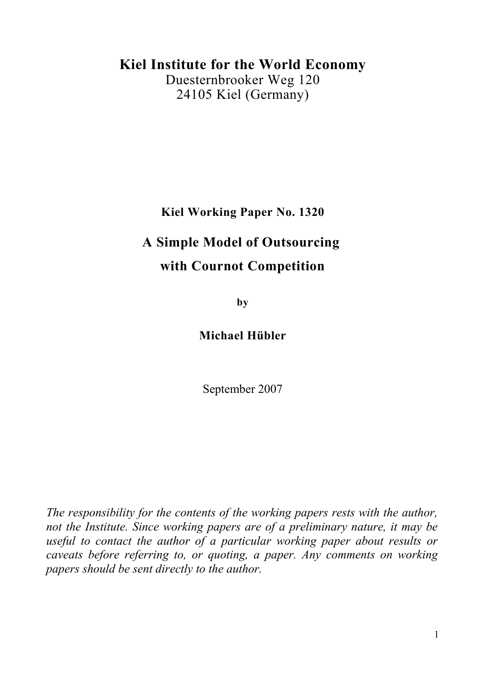## **Kiel Institute for the World Economy**

Duesternbrooker Weg 120 24105 Kiel (Germany)

**Kiel Working Paper No. 1320**

# **A Simple Model of Outsourcing with Cournot Competition**

**by**

**Michael Hübler**

September 2007

*The responsibility for the contents of the working papers rests with the author, not the Institute. Since working papers are of a preliminary nature, it may be useful to contact the author of a particular working paper about results or caveats before referring to, or quoting, a paper. Any comments on working papers should be sent directly to the author.*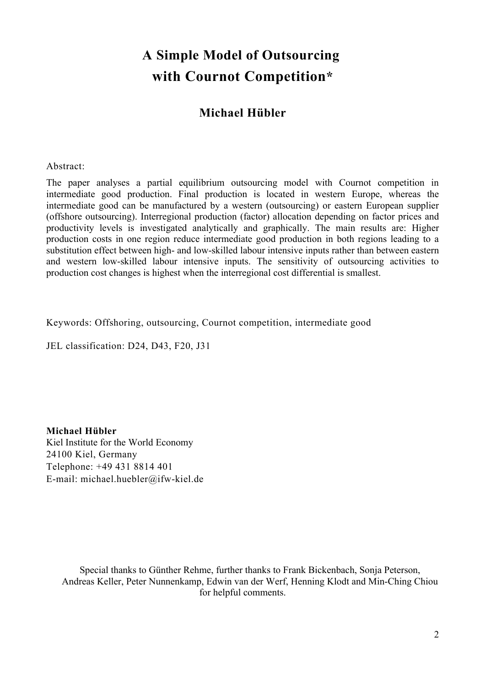# **A Simple Model of Outsourcing with Cournot Competition\***

## **Michael Hübler**

#### Abstract:

The paper analyses a partial equilibrium outsourcing model with Cournot competition in intermediate good production. Final production is located in western Europe, whereas the intermediate good can be manufactured by a western (outsourcing) or eastern European supplier (offshore outsourcing). Interregional production (factor) allocation depending on factor prices and productivity levels is investigated analytically and graphically. The main results are: Higher production costs in one region reduce intermediate good production in both regions leading to a substitution effect between high- and low-skilled labour intensive inputs rather than between eastern and western low-skilled labour intensive inputs. The sensitivity of outsourcing activities to production cost changes is highest when the interregional cost differential is smallest.

Keywords: Offshoring, outsourcing, Cournot competition, intermediate good

JEL classification: D24, D43, F20, J31

**Michael Hübler** Kiel Institute for the World Economy 24100 Kiel, Germany Telephone: +49 431 8814 401 E-mail: michael.huebler@ifw-kiel.de

Special thanks to Günther Rehme, further thanks to Frank Bickenbach, Sonja Peterson, Andreas Keller, Peter Nunnenkamp, Edwin van der Werf, Henning Klodt and Min-Ching Chiou for helpful comments.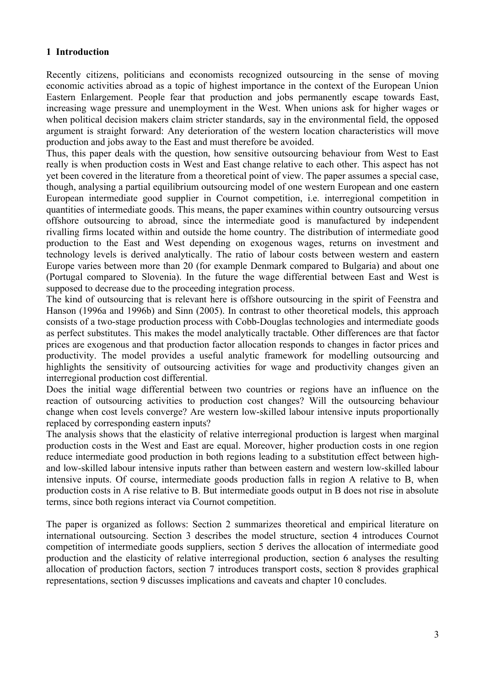## **1 Introduction**

Recently citizens, politicians and economists recognized outsourcing in the sense of moving economic activities abroad as a topic of highest importance in the context of the European Union Eastern Enlargement. People fear that production and jobs permanently escape towards East, increasing wage pressure and unemployment in the West. When unions ask for higher wages or when political decision makers claim stricter standards, say in the environmental field, the opposed argument is straight forward: Any deterioration of the western location characteristics will move production and jobs away to the East and must therefore be avoided.

Thus, this paper deals with the question, how sensitive outsourcing behaviour from West to East really is when production costs in West and East change relative to each other. This aspect has not yet been covered in the literature from a theoretical point of view. The paper assumes a special case, though, analysing a partial equilibrium outsourcing model of one western European and one eastern European intermediate good supplier in Cournot competition, i.e. interregional competition in quantities of intermediate goods. This means, the paper examines within country outsourcing versus offshore outsourcing to abroad, since the intermediate good is manufactured by independent rivalling firms located within and outside the home country. The distribution of intermediate good production to the East and West depending on exogenous wages, returns on investment and technology levels is derived analytically. The ratio of labour costs between western and eastern Europe varies between more than 20 (for example Denmark compared to Bulgaria) and about one (Portugal compared to Slovenia). In the future the wage differential between East and West is supposed to decrease due to the proceeding integration process.

The kind of outsourcing that is relevant here is offshore outsourcing in the spirit of Feenstra and Hanson (1996a and 1996b) and Sinn (2005). In contrast to other theoretical models, this approach consists of a two-stage production process with Cobb-Douglas technologies and intermediate goods as perfect substitutes. This makes the model analytically tractable. Other differences are that factor prices are exogenous and that production factor allocation responds to changes in factor prices and productivity. The model provides a useful analytic framework for modelling outsourcing and highlights the sensitivity of outsourcing activities for wage and productivity changes given an interregional production cost differential.

Does the initial wage differential between two countries or regions have an influence on the reaction of outsourcing activities to production cost changes? Will the outsourcing behaviour change when cost levels converge? Are western low-skilled labour intensive inputs proportionally replaced by corresponding eastern inputs?

The analysis shows that the elasticity of relative interregional production is largest when marginal production costs in the West and East are equal. Moreover, higher production costs in one region reduce intermediate good production in both regions leading to a substitution effect between highand low-skilled labour intensive inputs rather than between eastern and western low-skilled labour intensive inputs. Of course, intermediate goods production falls in region A relative to B, when production costs in A rise relative to B. But intermediate goods output in B does not rise in absolute terms, since both regions interact via Cournot competition.

The paper is organized as follows: Section 2 summarizes theoretical and empirical literature on international outsourcing. Section 3 describes the model structure, section 4 introduces Cournot competition of intermediate goods suppliers, section 5 derives the allocation of intermediate good production and the elasticity of relative interregional production, section 6 analyses the resulting allocation of production factors, section 7 introduces transport costs, section 8 provides graphical representations, section 9 discusses implications and caveats and chapter 10 concludes.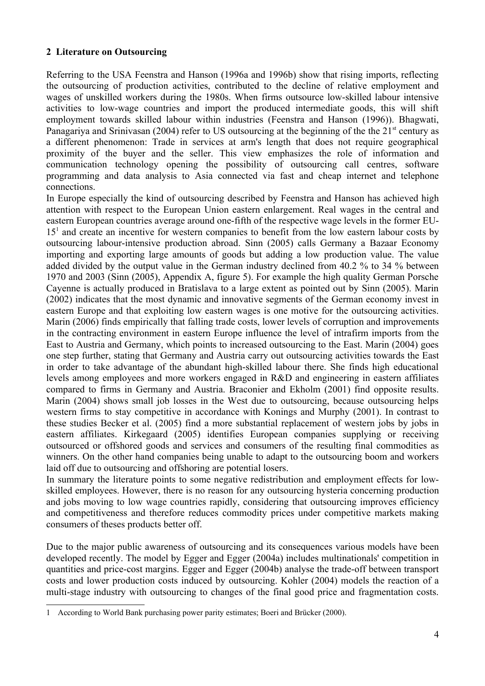## **2 Literature on Outsourcing**

Referring to the USA Feenstra and Hanson (1996a and 1996b) show that rising imports, reflecting the outsourcing of production activities, contributed to the decline of relative employment and wages of unskilled workers during the 1980s. When firms outsource low-skilled labour intensive activities to low-wage countries and import the produced intermediate goods, this will shift employment towards skilled labour within industries (Feenstra and Hanson (1996)). Bhagwati, Panagariya and Srinivasan (2004) refer to US outsourcing at the beginning of the the 21<sup>st</sup> century as a different phenomenon: Trade in services at arm's length that does not require geographical proximity of the buyer and the seller. This view emphasizes the role of information and communication technology opening the possibility of outsourcing call centres, software programming and data analysis to Asia connected via fast and cheap internet and telephone connections.

In Europe especially the kind of outsourcing described by Feenstra and Hanson has achieved high attention with respect to the European Union eastern enlargement. Real wages in the central and eastern European countries average around one-fifth of the respective wage levels in the former EU-[1](#page-3-0)5<sup>1</sup> and create an incentive for western companies to benefit from the low eastern labour costs by outsourcing labour-intensive production abroad. Sinn (2005) calls Germany a Bazaar Economy importing and exporting large amounts of goods but adding a low production value. The value added divided by the output value in the German industry declined from 40.2 % to 34 % between 1970 and 2003 (Sinn (2005), Appendix A, figure 5). For example the high quality German Porsche Cayenne is actually produced in Bratislava to a large extent as pointed out by Sinn (2005). Marin (2002) indicates that the most dynamic and innovative segments of the German economy invest in eastern Europe and that exploiting low eastern wages is one motive for the outsourcing activities. Marin (2006) finds empirically that falling trade costs, lower levels of corruption and improvements in the contracting environment in eastern Europe influence the level of intrafirm imports from the East to Austria and Germany, which points to increased outsourcing to the East. Marin (2004) goes one step further, stating that Germany and Austria carry out outsourcing activities towards the East in order to take advantage of the abundant high-skilled labour there. She finds high educational levels among employees and more workers engaged in R&D and engineering in eastern affiliates compared to firms in Germany and Austria. Braconier and Ekholm (2001) find opposite results. Marin (2004) shows small job losses in the West due to outsourcing, because outsourcing helps western firms to stay competitive in accordance with Konings and Murphy (2001). In contrast to these studies Becker et al. (2005) find a more substantial replacement of western jobs by jobs in eastern affiliates. Kirkegaard (2005) identifies European companies supplying or receiving outsourced or offshored goods and services and consumers of the resulting final commodities as winners. On the other hand companies being unable to adapt to the outsourcing boom and workers laid off due to outsourcing and offshoring are potential losers.

In summary the literature points to some negative redistribution and employment effects for lowskilled employees. However, there is no reason for any outsourcing hysteria concerning production and jobs moving to low wage countries rapidly, considering that outsourcing improves efficiency and competitiveness and therefore reduces commodity prices under competitive markets making consumers of theses products better off.

Due to the major public awareness of outsourcing and its consequences various models have been developed recently. The model by Egger and Egger (2004a) includes multinationals' competition in quantities and price-cost margins. Egger and Egger (2004b) analyse the trade-off between transport costs and lower production costs induced by outsourcing. Kohler (2004) models the reaction of a multi-stage industry with outsourcing to changes of the final good price and fragmentation costs.

<span id="page-3-0"></span><sup>1</sup> According to World Bank purchasing power parity estimates; Boeri and Brücker (2000).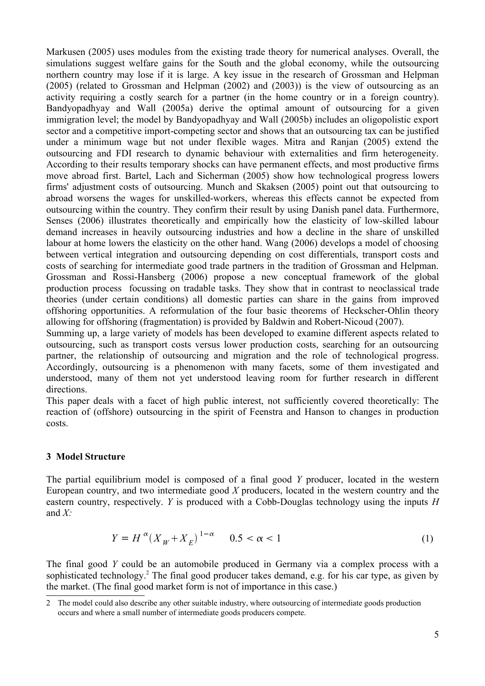Markusen (2005) uses modules from the existing trade theory for numerical analyses. Overall, the simulations suggest welfare gains for the South and the global economy, while the outsourcing northern country may lose if it is large. A key issue in the research of Grossman and Helpman (2005) (related to Grossman and Helpman (2002) and (2003)) is the view of outsourcing as an activity requiring a costly search for a partner (in the home country or in a foreign country). Bandyopadhyay and Wall (2005a) derive the optimal amount of outsourcing for a given immigration level; the model by Bandyopadhyay and Wall (2005b) includes an oligopolistic export sector and a competitive import-competing sector and shows that an outsourcing tax can be justified under a minimum wage but not under flexible wages. Mitra and Ranjan (2005) extend the outsourcing and FDI research to dynamic behaviour with externalities and firm heterogeneity. According to their results temporary shocks can have permanent effects, and most productive firms move abroad first. Bartel, Lach and Sicherman (2005) show how technological progress lowers firms' adjustment costs of outsourcing. Munch and Skaksen (2005) point out that outsourcing to abroad worsens the wages for unskilled-workers, whereas this effects cannot be expected from outsourcing within the country. They confirm their result by using Danish panel data. Furthermore, Senses (2006) illustrates theoretically and empirically how the elasticity of low-skilled labour demand increases in heavily outsourcing industries and how a decline in the share of unskilled labour at home lowers the elasticity on the other hand. Wang (2006) develops a model of choosing between vertical integration and outsourcing depending on cost differentials, transport costs and costs of searching for intermediate good trade partners in the tradition of Grossman and Helpman. Grossman and Rossi-Hansberg (2006) propose a new conceptual framework of the global production process focussing on tradable tasks. They show that in contrast to neoclassical trade theories (under certain conditions) all domestic parties can share in the gains from improved offshoring opportunities. A reformulation of the four basic theorems of Heckscher-Ohlin theory allowing for offshoring (fragmentation) is provided by Baldwin and Robert-Nicoud (2007).

Summing up, a large variety of models has been developed to examine different aspects related to outsourcing, such as transport costs versus lower production costs, searching for an outsourcing partner, the relationship of outsourcing and migration and the role of technological progress. Accordingly, outsourcing is a phenomenon with many facets, some of them investigated and understood, many of them not yet understood leaving room for further research in different directions.

This paper deals with a facet of high public interest, not sufficiently covered theoretically: The reaction of (offshore) outsourcing in the spirit of Feenstra and Hanson to changes in production costs.

### **3 Model Structure**

The partial equilibrium model is composed of a final good *Y* producer, located in the western European country, and two intermediate good *X* producers, located in the western country and the eastern country, respectively. *Y* is produced with a Cobb-Douglas technology using the inputs *H* and *X:*

$$
Y = H^{\alpha} (X_W + X_E)^{1-\alpha} \qquad 0.5 < \alpha < 1
$$
 (1)

The final good *Y* could be an automobile produced in Germany via a complex process with a sophisticated technology.<sup>[2](#page-4-0)</sup> The final good producer takes demand, e.g. for his car type, as given by the market. (The final good market form is not of importance in this case.)

<span id="page-4-0"></span><sup>2</sup> The model could also describe any other suitable industry, where outsourcing of intermediate goods production occurs and where a small number of intermediate goods producers compete.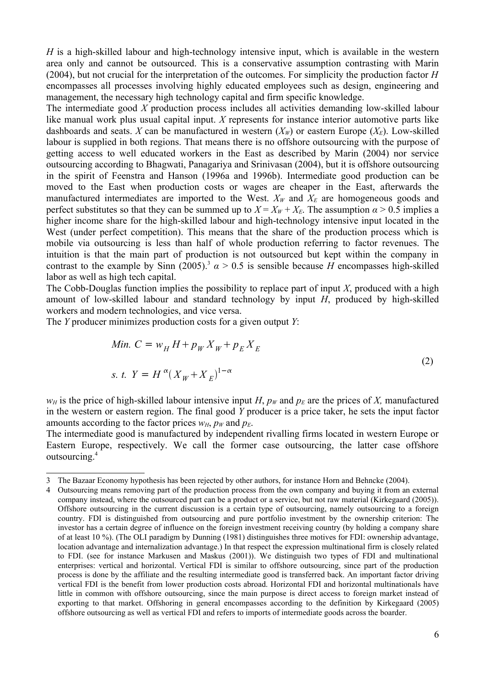*H* is a high-skilled labour and high-technology intensive input, which is available in the western area only and cannot be outsourced. This is a conservative assumption contrasting with Marin (2004), but not crucial for the interpretation of the outcomes. For simplicity the production factor *H* encompasses all processes involving highly educated employees such as design, engineering and management, the necessary high technology capital and firm specific knowledge.

The intermediate good *X* production process includes all activities demanding low-skilled labour like manual work plus usual capital input. *X* represents for instance interior automotive parts like dashboards and seats. *X* can be manufactured in western  $(X_W)$  or eastern Europe  $(X_F)$ . Low-skilled labour is supplied in both regions. That means there is no offshore outsourcing with the purpose of getting access to well educated workers in the East as described by Marin (2004) nor service outsourcing according to Bhagwati, Panagariya and Srinivasan (2004), but it is offshore outsourcing in the spirit of Feenstra and Hanson (1996a and 1996b). Intermediate good production can be moved to the East when production costs or wages are cheaper in the East, afterwards the manufactured intermediates are imported to the West.  $X_W$  and  $X_E$  are homogeneous goods and perfect substitutes so that they can be summed up to  $X = X_W + X_E$ . The assumption  $\alpha > 0.5$  implies a higher income share for the high-skilled labour and high-technology intensive input located in the West (under perfect competition). This means that the share of the production process which is mobile via outsourcing is less than half of whole production referring to factor revenues. The intuition is that the main part of production is not outsourced but kept within the company in contrast to the example by Sinn (2005).<sup>[3](#page-5-0)</sup>  $\alpha$  > 0.5 is sensible because *H* encompasses high-skilled labor as well as high tech capital.

The Cobb-Douglas function implies the possibility to replace part of input *X*, produced with a high amount of low-skilled labour and standard technology by input *H*, produced by high-skilled workers and modern technologies, and vice versa.

The *Y* producer minimizes production costs for a given output *Y*:

<span id="page-5-2"></span>Min. 
$$
C = w_H H + p_W X_W + p_E X_E
$$
  
s. t. 
$$
Y = H^{\alpha} (X_W + X_E)^{1-\alpha}
$$
 (2)

*w<sub>H</sub>* is the price of high-skilled labour intensive input *H*,  $p_W$  and  $p_E$  are the prices of *X*, manufactured in the western or eastern region. The final good *Y* producer is a price taker, he sets the input factor amounts according to the factor prices  $w_H$ ,  $p_W$  and  $p_E$ .

The intermediate good is manufactured by independent rivalling firms located in western Europe or Eastern Europe, respectively. We call the former case outsourcing, the latter case offshore outsourcing.[4](#page-5-1)

<span id="page-5-0"></span><sup>3</sup> The Bazaar Economy hypothesis has been rejected by other authors, for instance Horn and Behncke (2004).

<span id="page-5-1"></span><sup>4</sup> Outsourcing means removing part of the production process from the own company and buying it from an external company instead, where the outsourced part can be a product or a service, but not raw material (Kirkegaard (2005)). Offshore outsourcing in the current discussion is a certain type of outsourcing, namely outsourcing to a foreign country. FDI is distinguished from outsourcing and pure portfolio investment by the ownership criterion: The investor has a certain degree of influence on the foreign investment receiving country (by holding a company share of at least 10 %). (The OLI paradigm by Dunning (1981) distinguishes three motives for FDI: ownership advantage, location advantage and internalization advantage.) In that respect the expression multinational firm is closely related to FDI. (see for instance Markusen and Maskus (2001)). We distinguish two types of FDI and multinational enterprises: vertical and horizontal. Vertical FDI is similar to offshore outsourcing, since part of the production process is done by the affiliate and the resulting intermediate good is transferred back. An important factor driving vertical FDI is the benefit from lower production costs abroad. Horizontal FDI and horizontal multinationals have little in common with offshore outsourcing, since the main purpose is direct access to foreign market instead of exporting to that market. Offshoring in general encompasses according to the definition by Kirkegaard (2005) offshore outsourcing as well as vertical FDI and refers to imports of intermediate goods across the boarder.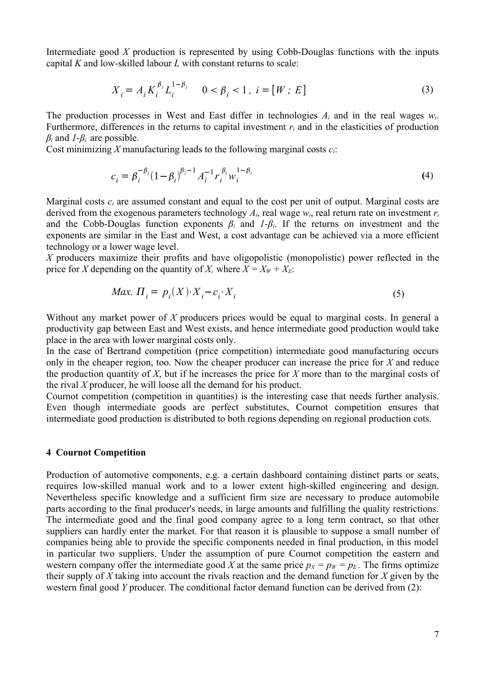Intermediate good *X* production is represented by using Cobb-Douglas functions with the inputs capital *K* and low-skilled labour *L* with constant returns to scale:

<span id="page-6-1"></span>
$$
X_i = A_i K_i^{\beta_i} L_i^{1-\beta_i} \qquad 0 < \beta_i < 1 \, , \, i = [W; E] \tag{3}
$$

The production processes in West and East differ in technologies  $A_i$  and in the real wages  $w_i$ . Furthermore, differences in the returns to capital investment *r<sup>i</sup>* and in the elasticities of production  $\beta_i$  and  $I - \beta_i$  are possible.

Cost minimizing *X* manufacturing leads to the following marginal costs *ci*:

$$
c_i = \beta_i^{-\beta_i} (1 - \beta_i)^{\beta_i - 1} A_i^{-1} r_i^{\beta_i} w_i^{1 - \beta_i}
$$
 (4)

Marginal costs  $c_i$  are assumed constant and equal to the cost per unit of output. Marginal costs are derived from the exogenous parameters technology  $A_i$ , real wage  $w_i$ , real return rate on investment  $r_i$ and the Cobb-Douglas function exponents  $\beta_i$  and  $I-\beta_i$ . If the returns on investment and the exponents are similar in the East and West, a cost advantage can be achieved via a more efficient technology or a lower wage level.

*X* producers maximize their profits and have oligopolistic (monopolistic) power reflected in the price for *X* depending on the quantity of *X*, where  $X = X_W + X_E$ .

<span id="page-6-0"></span>
$$
Max. \Pi_i = p_i(X) \cdot X_i - c_i \cdot X_i \tag{5}
$$

Without any market power of *X* producers prices would be equal to marginal costs. In general a productivity gap between East and West exists, and hence intermediate good production would take place in the area with lower marginal costs only.

In the case of Bertrand competition (price competition) intermediate good manufacturing occurs only in the cheaper region, too. Now the cheaper producer can increase the price for *X* and reduce the production quantity of *X*, but if he increases the price for *X* more than to the marginal costs of the rival *X* producer, he will loose all the demand for his product.

Cournot competition (competition in quantities) is the interesting case that needs further analysis. Even though intermediate goods are perfect substitutes, Cournot competition ensures that intermediate good production is distributed to both regions depending on regional production cots.

#### **4 Cournot Competition**

Production of automotive components, e.g. a certain dashboard containing distinct parts or seats, requires low-skilled manual work and to a lower extent high-skilled engineering and design. Nevertheless specific knowledge and a sufficient firm size are necessary to produce automobile parts according to the final producer's needs, in large amounts and fulfilling the quality restrictions. The intermediate good and the final good company agree to a long term contract, so that other suppliers can hardly enter the market. For that reason it is plausible to suppose a small number of companies being able to provide the specific components needed in final production, in this model in particular two suppliers. Under the assumption of pure Cournot competition the eastern and western company offer the intermediate good *X* at the same price  $p_X = p_W = p_E$ . The firms optimize their supply of *X* taking into account the rivals reaction and the demand function for *X* given by the western final good *Y* producer. The conditional factor demand function can be derived from [\(2](#page-5-2)):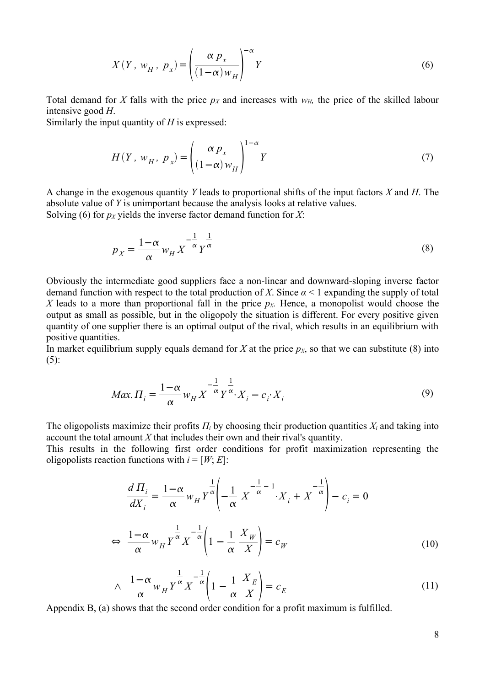<span id="page-7-1"></span>
$$
X(Y, w_H, p_x) = \left(\frac{\alpha p_x}{(1-\alpha)w_H}\right)^{-\alpha} Y
$$
 (6)

Total demand for *X* falls with the price  $p_X$  and increases with  $w_H$ , the price of the skilled labour intensive good *H*.

Similarly the input quantity of *H* is expressed:

<span id="page-7-3"></span>
$$
H(Y, w_H, p_x) = \left(\frac{\alpha p_x}{(1-\alpha)w_H}\right)^{1-\alpha} Y
$$
 (7)

A change in the exogenous quantity *Y* leads to proportional shifts of the input factors *X* and *H*. The absolute value of *Y* is unimportant because the analysis looks at relative values. Solving [\(6](#page-7-1)) for  $p_X$  yields the inverse factor demand function for *X*:

<span id="page-7-0"></span>
$$
p_X = \frac{1 - \alpha}{\alpha} w_H X^{-\frac{1}{\alpha}} Y^{\frac{1}{\alpha}}
$$
 (8)

Obviously the intermediate good suppliers face a non-linear and downward-sloping inverse factor demand function with respect to the total production of *X*. Since  $\alpha$  < 1 expanding the supply of total *X* leads to a more than proportional fall in the price  $p<sub>X</sub>$ . Hence, a monopolist would choose the output as small as possible, but in the oligopoly the situation is different. For every positive given quantity of one supplier there is an optimal output of the rival, which results in an equilibrium with positive quantities.

In market equilibrium supply equals demand for *X* at the price  $p<sub>X</sub>$ , so that we can substitute [\(8\)](#page-7-0) into  $(5)$  $(5)$ :

<span id="page-7-5"></span>
$$
Max. \Pi_i = \frac{1 - \alpha}{\alpha} w_H X^{-\frac{1}{\alpha}} Y^{\frac{1}{\alpha}} X_i - c_i X_i
$$
\n<sup>(9)</sup>

The oligopolists maximize their profits *Π<sup>i</sup>* by choosing their production quantities *X<sup>i</sup>* and taking into account the total amount *X* that includes their own and their rival's quantity.

This results in the following first order conditions for profit maximization representing the oligopolists reaction functions with  $i = [W, E]$ :

$$
\frac{d\Pi_i}{dX_i} = \frac{1-\alpha}{\alpha} w_H Y^{\frac{1}{\alpha}} \left( -\frac{1}{\alpha} X^{-\frac{1}{\alpha} - 1} X_i + X^{-\frac{1}{\alpha}} \right) - c_i = 0
$$
  

$$
\Leftrightarrow \frac{1-\alpha}{\alpha} w_H Y^{\frac{1}{\alpha}} X^{-\frac{1}{\alpha}} \left( 1 - \frac{1}{\alpha} \frac{X_W}{X} \right) = c_W
$$
(10)

<span id="page-7-4"></span><span id="page-7-2"></span>
$$
\wedge \quad \frac{1-\alpha}{\alpha} w_H Y^{\frac{1}{\alpha}} X^{-\frac{1}{\alpha}} \left( 1 - \frac{1}{\alpha} \frac{X_E}{X} \right) = c_E \tag{11}
$$

Appendix B, (a) shows that the second order condition for a profit maximum is fulfilled.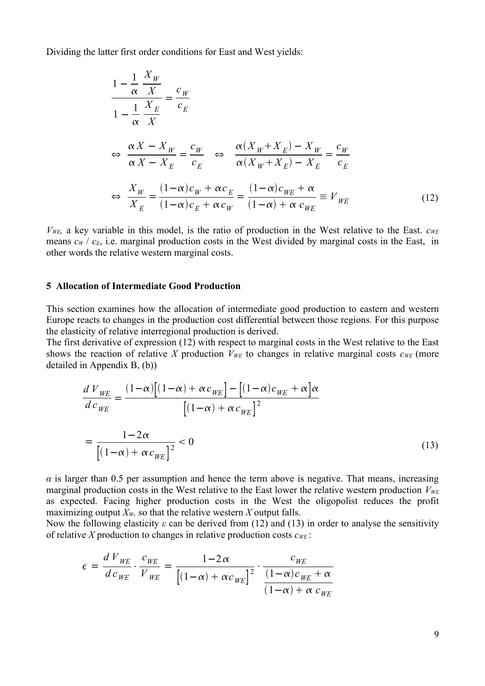Dividing the latter first order conditions for East and West yields:

<span id="page-8-1"></span>*X <sup>W</sup>*

$$
\frac{1 - \frac{1}{\alpha} \frac{X_W}{X}}{1 - \frac{1}{\alpha} \frac{X_E}{X}} = \frac{c_W}{c_E}
$$
\n
$$
\Leftrightarrow \frac{\alpha X - X_W}{\alpha X - X_E} = \frac{c_W}{c_E} \Leftrightarrow \frac{\alpha (X_W + X_E) - X_W}{\alpha (X_W + X_E) - X_E} = \frac{c_W}{c_E}
$$
\n
$$
\Leftrightarrow \frac{X_W}{X_E} = \frac{(1 - \alpha)c_W + \alpha c_E}{(1 - \alpha)c_E + \alpha c_W} = \frac{(1 - \alpha)c_{WE} + \alpha}{(1 - \alpha) + \alpha c_{WE}} \equiv V_{WE} \tag{12}
$$

*VWE,* a key variable in this model, is the ratio of production in the West relative to the East. *cWE* means  $c_W$  /  $c_E$ , i.e. marginal production costs in the West divided by marginal costs in the East, in other words the relative western marginal costs.

#### **5 Allocation of Intermediate Good Production**

This section examines how the allocation of intermediate good production to eastern and western Europe reacts to changes in the production cost differential between those regions. For this purpose the elasticity of relative interregional production is derived.

The first derivative of expression ([12\)](#page-8-1) with respect to marginal costs in the West relative to the East shows the reaction of relative *X* production  $V_{WE}$  to changes in relative marginal costs  $c_{WE}$  (more detailed in Appendix B, (b))

<span id="page-8-0"></span>
$$
\frac{d V_{WE}}{d c_{WE}} = \frac{(1-\alpha)\left[(1-\alpha) + \alpha c_{WE}\right] - \left[(1-\alpha)c_{WE} + \alpha\right]\alpha}{\left[(1-\alpha) + \alpha c_{WE}\right]^2}
$$
\n
$$
= \frac{1-2\alpha}{\left[(1-\alpha) + \alpha c_{WE}\right]^2} < 0
$$
\n(13)

 $\alpha$  is larger than 0.5 per assumption and hence the term above is negative. That means, increasing marginal production costs in the West relative to the East lower the relative western production  $V_{WE}$ as expected. Facing higher production costs in the West the oligopolist reduces the profit maximizing output  $X_W$ , so that the relative western X output falls.

Now the following elasticity  $\varepsilon$  can be derived from ([12\)](#page-8-1) and [\(13](#page-8-0)) in order to analyse the sensitivity of relative *X* production to changes in relative production costs  $c_{WE}$ :

$$
\epsilon = \frac{d V_{WE}}{d c_{WE}} \cdot \frac{c_{WE}}{V_{WE}} = \frac{1 - 2\alpha}{\left[ (1 - \alpha) + \alpha c_{WE} \right]^2} \cdot \frac{c_{WE}}{(1 - \alpha) c_{WE} + \alpha}
$$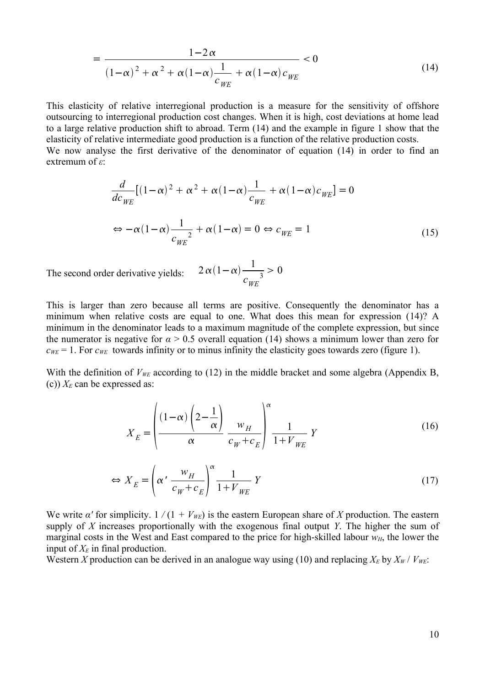$$
= \frac{1-2\alpha}{\left(1-\alpha\right)^2 + \alpha^2 + \alpha\left(1-\alpha\right)\frac{1}{c_{WE}}} < 0
$$
\n<sup>(14)</sup>

This elasticity of relative interregional production is a measure for the sensitivity of offshore outsourcing to interregional production cost changes. When it is high, cost deviations at home lead to a large relative production shift to abroad. Term ([14\)](#page-9-0) and the example in figure 1 show that the elasticity of relative intermediate good production is a function of the relative production costs. We now analyse the first derivative of the denominator of equation [\(14](#page-9-0)) in order to find an extremum of *ε*:

$$
\frac{d}{dc_{WE}}[(1-\alpha)^2 + \alpha^2 + \alpha(1-\alpha)\frac{1}{c_{WE}} + \alpha(1-\alpha)c_{WE}] = 0
$$
  

$$
\Leftrightarrow -\alpha(1-\alpha)\frac{1}{c_{WE}^2} + \alpha(1-\alpha) = 0 \Leftrightarrow c_{WE} = 1
$$
 (15)

The second order derivative yields:

<span id="page-9-2"></span><span id="page-9-0"></span> $2\alpha(1-\alpha)$ <sup>1</sup>  $\frac{1}{c_{WE}^3} > 0$ 

This is larger than zero because all terms are positive. Consequently the denominator has a minimum when relative costs are equal to one. What does this mean for expression ([14\)](#page-9-0)? A minimum in the denominator leads to a maximum magnitude of the complete expression, but since the numerator is negative for  $\alpha > 0.5$  overall equation ([14\)](#page-9-0) shows a minimum lower than zero for  $c_{WE} = 1$ . For  $c_{WE}$  towards infinity or to minus infinity the elasticity goes towards zero (figure 1).

With the definition of  $V_{WE}$  according to [\(12](#page-8-1)) in the middle bracket and some algebra (Appendix B, (c))  $X_E$  can be expressed as:

<span id="page-9-1"></span>
$$
X_{E} = \left(\frac{(1-\alpha)\left(2-\frac{1}{\alpha}\right)}{\alpha} \frac{w_{H}}{c_{W} + c_{E}}\right)^{\alpha} \frac{1}{1+V_{WE}} Y
$$
(16)

$$
\Leftrightarrow X_E = \left(\alpha' \frac{w_H}{c_W + c_E}\right)^{\alpha} \frac{1}{1 + V_{WE}} Y
$$
\n(17)

We write *α'* for simplicity.  $1/(1 + V_{WE})$  is the eastern European share of *X* production. The eastern supply of *X* increases proportionally with the exogenous final output *Y*. The higher the sum of marginal costs in the West and East compared to the price for high-skilled labour  $w_H$ , the lower the input of  $X_E$  in final production.

Western *X* production can be derived in an analogue way using ([10](#page-7-2)) and replacing  $X_E$  by  $X_W$  /  $V_{WE}$ :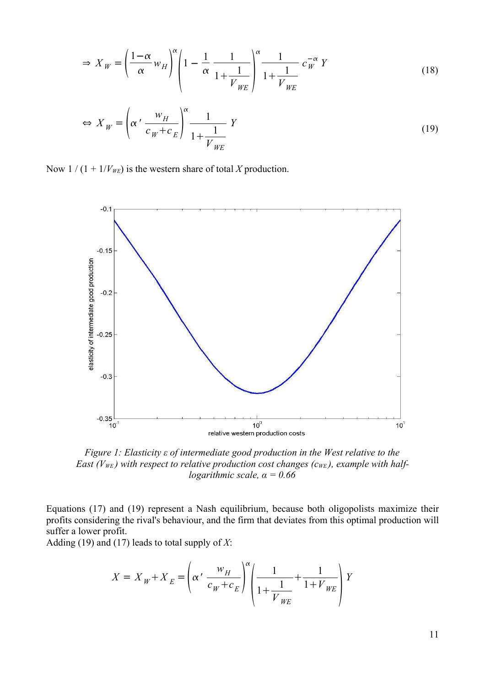<span id="page-10-1"></span>
$$
\Rightarrow X_W = \left(\frac{1-\alpha}{\alpha}w_H\right)^{\alpha} \left(1 - \frac{1}{\alpha}\frac{1}{1 + \frac{1}{V_{WE}}}\right)^{\alpha} \frac{1}{1 + \frac{1}{V_{WE}}} c_W^{-\alpha} Y
$$
\n
$$
\left(\frac{w_H}{1 + \frac{1}{V_{WE}}}\right)^{\alpha} \frac{1}{1 + \frac{1}{V_{WE}}} c_W^{-\alpha} Y
$$
\n(18)

<span id="page-10-0"></span>
$$
\Leftrightarrow X_W = \left(\alpha' \frac{w_H}{c_W + c_E}\right)^{\alpha} \frac{1}{1 + \frac{1}{V_{WE}}} Y
$$
\n(19)

Now  $1/(1 + 1/V_{WE})$  is the western share of total *X* production.



*Figure 1: Elasticity ε of intermediate good production in the West relative to the East (V<sub>WE</sub>)* with respect to relative production cost changes ( $c_{WE}$ ), example with half*logarithmic scale, α = 0.66*

Equations ([17\)](#page-9-1) and ([19\)](#page-10-0) represent a Nash equilibrium, because both oligopolists maximize their profits considering the rival's behaviour, and the firm that deviates from this optimal production will suffer a lower profit.

Adding ([19\)](#page-10-0) and [\(17](#page-9-1)) leads to total supply of *X*:

$$
X = X_W + X_E = \left(\alpha' \frac{w_H}{c_W + c_E}\right)^{\alpha} \left(\frac{1}{1 + \frac{1}{V_{WE}}} + \frac{1}{1 + V_{WE}}\right) Y
$$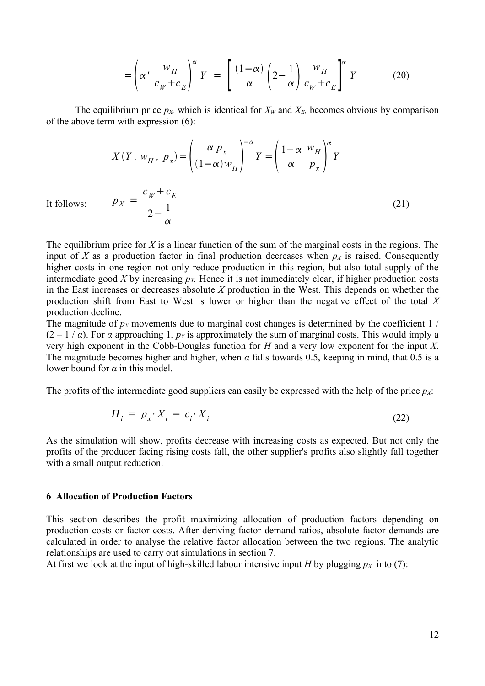<span id="page-11-0"></span>
$$
= \left(\alpha' \frac{w_H}{c_W + c_E}\right)^{\alpha} Y = \left[\frac{(1-\alpha)}{\alpha} \left(2 - \frac{1}{\alpha}\right) \frac{w_H}{c_W + c_E}\right]^{\alpha} Y \tag{20}
$$

The equilibrium price  $p_X$ , which is identical for  $X_W$  and  $X_E$ , becomes obvious by comparison of the above term with expression ([6\)](#page-7-1):

<span id="page-11-2"></span>
$$
X(Y, w_H, p_x) = \left(\frac{\alpha p_x}{(1-\alpha)w_H}\right)^{-\alpha} Y = \left(\frac{1-\alpha}{\alpha} \frac{w_H}{p_x}\right)^{\alpha} Y
$$
  

$$
p_X = \frac{c_W + c_E}{2 - \frac{1}{\alpha}}
$$
 (21)

It follows:

The equilibrium price for *X* is a linear function of the sum of the marginal costs in the regions. The input of *X* as a production factor in final production decreases when  $p<sub>X</sub>$  is raised. Consequently higher costs in one region not only reduce production in this region, but also total supply of the intermediate good *X* by increasing  $p<sub>X</sub>$ . Hence it is not immediately clear, if higher production costs in the East increases or decreases absolute *X* production in the West. This depends on whether the production shift from East to West is lower or higher than the negative effect of the total *X* production decline.

The magnitude of  $p_X$  movements due to marginal cost changes is determined by the coefficient 1  $\ell$  $(2 - 1 / \alpha)$ . For  $\alpha$  approaching 1,  $p_X$  is approximately the sum of marginal costs. This would imply a very high exponent in the Cobb-Douglas function for *H* and a very low exponent for the input *X*. The magnitude becomes higher and higher, when  $\alpha$  falls towards 0.5, keeping in mind, that 0.5 is a lower bound for *α* in this model.

The profits of the intermediate good suppliers can easily be expressed with the help of the price *pX*:

<span id="page-11-1"></span>
$$
\Pi_i = p_x \cdot X_i - c_i \cdot X_i \tag{22}
$$

As the simulation will show, profits decrease with increasing costs as expected. But not only the profits of the producer facing rising costs fall, the other supplier's profits also slightly fall together with a small output reduction.

#### **6 Allocation of Production Factors**

This section describes the profit maximizing allocation of production factors depending on production costs or factor costs. After deriving factor demand ratios, absolute factor demands are calculated in order to analyse the relative factor allocation between the two regions. The analytic relationships are used to carry out simulations in section 7.

At first we look at the input of high-skilled labour intensive input *H* by plugging  $p_X$  into ([7\)](#page-7-3):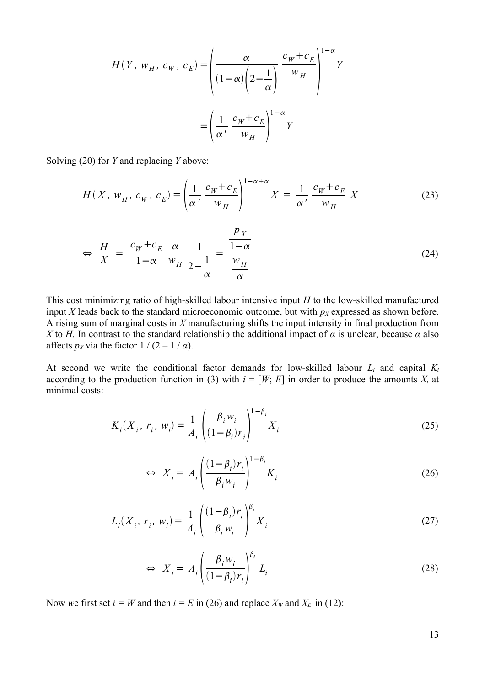$$
H(Y, w_H, c_W, c_E) = \left(\frac{\alpha}{(1-\alpha)\left(2-\frac{1}{\alpha}\right)} \frac{c_W + c_E}{w_H}\right)^{1-\alpha} Y
$$

$$
= \left(\frac{1}{\alpha'} \frac{c_W + c_E}{w_H}\right)^{1-\alpha} Y
$$

Solving [\(20](#page-11-0)) for *Y* and replacing *Y* above:

$$
H(X, w_H, c_W, c_E) = \left(\frac{1}{\alpha'} \frac{c_W + c_E}{w_H}\right)^{1 - \alpha + \alpha} X = \frac{1}{\alpha'} \frac{c_W + c_E}{w_H} X
$$
 (23)

<span id="page-12-2"></span>
$$
\Leftrightarrow \frac{H}{X} = \frac{c_W + c_E}{1 - \alpha} \frac{\alpha}{w_H} \frac{1}{2 - \frac{1}{\alpha}} = \frac{\frac{p_X}{1 - \alpha}}{\frac{w_H}{\alpha}}
$$
(24)

This cost minimizing ratio of high-skilled labour intensive input *H* to the low-skilled manufactured input *X* leads back to the standard microeconomic outcome, but with  $p<sub>X</sub>$  expressed as shown before. A rising sum of marginal costs in *X* manufacturing shifts the input intensity in final production from *X* to *H*. In contrast to the standard relationship the additional impact of *α* is unclear, because *α* also affects  $p_X$  via the factor  $1/(2-1/\alpha)$ .

At second we write the conditional factor demands for low-skilled labour *L<sup>i</sup>* and capital *K<sup>i</sup>* according to the production function in [\(3](#page-6-1)) with  $i = [W; E]$  in order to produce the amounts  $X_i$  at minimal costs:

$$
K_i(X_i, r_i, w_i) = \frac{1}{A_i} \left( \frac{\beta_i w_i}{(1 - \beta_i) r_i} \right)^{1 - \beta_i} X_i
$$
 (25)

$$
\Leftrightarrow X_i = A_i \left( \frac{(1 - \beta_i) r_i}{\beta_i w_i} \right)^{1 - \beta_i} K_i
$$
 (26)

$$
L_i(X_i, r_i, w_i) = \frac{1}{A_i} \left( \frac{(1 - \beta_i)r_i}{\beta_i w_i} \right)^{\beta_i} X_i
$$
 (27)

$$
\Leftrightarrow X_i = A_i \left( \frac{\beta_i w_i}{(1 - \beta_i) r_i} \right)^{\beta_i} L_i \tag{28}
$$

Now we first set  $i = W$  and then  $i = E$  in ([26\)](#page-12-0) and replace  $X_W$  and  $X_E$  in ([12\)](#page-8-1):

<span id="page-12-1"></span><span id="page-12-0"></span>13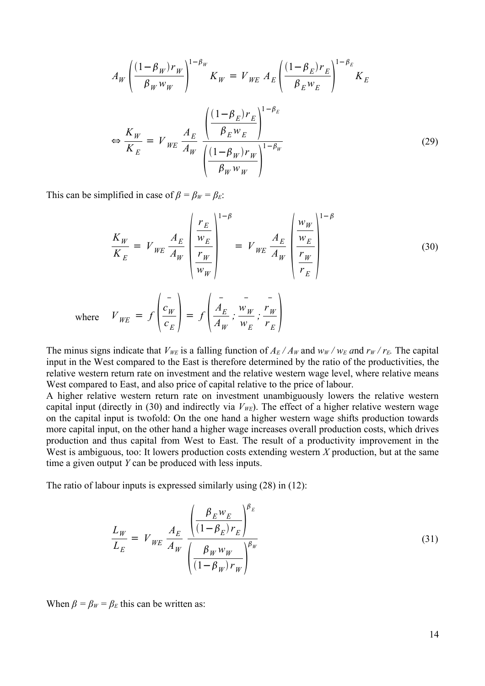$$
A_W \left( \frac{(1 - \beta_W) r_W}{\beta_W w_W} \right)^{1 - \beta_W} K_W = V_{WE} A_E \left( \frac{(1 - \beta_E) r_E}{\beta_E w_E} \right)^{1 - \beta_E} K_E
$$
  

$$
\Leftrightarrow \frac{K_W}{K_E} = V_{WE} \frac{A_E}{A_W} \frac{\left( \frac{(1 - \beta_E) r_E}{\beta_E w_E} \right)^{1 - \beta_E}}{\left( \frac{(1 - \beta_W) r_W}{\beta_W w_W} \right)^{1 - \beta_W}}
$$
(29)

This can be simplified in case of  $\beta = \beta_W = \beta_E$ :

<span id="page-13-0"></span>
$$
\frac{K_W}{K_E} = V_{WE} \frac{A_E}{A_W} \left( \frac{\frac{r_E}{w_E}}{\frac{r_W}{w_W}} \right)^{1-\beta} = V_{WE} \frac{A_E}{A_W} \left( \frac{\frac{w_W}{w_E}}{\frac{r_W}{r_E}} \right)^{1-\beta}
$$
(30)

where 
$$
V_{WE} = f\left(\frac{c_W}{c_E}\right) = f\left(\frac{\overline{A_E}}{\overline{A_W}}; \frac{\overline{w_W}}{\overline{w_E}}; \frac{\overline{r_W}}{\overline{r_E}}\right)
$$

The minus signs indicate that  $V_{WE}$  is a falling function of  $A_E/A_W$  and  $w_W/w_E$  and  $r_W/r_E$ . The capital input in the West compared to the East is therefore determined by the ratio of the productivities, the relative western return rate on investment and the relative western wage level, where relative means West compared to East, and also price of capital relative to the price of labour.

A higher relative western return rate on investment unambiguously lowers the relative western capital input (directly in ([30\)](#page-13-0) and indirectly via  $V_{WE}$ ). The effect of a higher relative western wage on the capital input is twofold: On the one hand a higher western wage shifts production towards more capital input, on the other hand a higher wage increases overall production costs, which drives production and thus capital from West to East. The result of a productivity improvement in the West is ambiguous, too: It lowers production costs extending western *X* production, but at the same time a given output *Y* can be produced with less inputs.

The ratio of labour inputs is expressed similarly using [\(28](#page-12-1)) in ([12\)](#page-8-1):

<span id="page-13-1"></span>
$$
\frac{L_W}{L_E} = V_{WE} \frac{A_E}{A_W} \frac{\left(\frac{\beta_E w_E}{(1 - \beta_E) r_E}\right)^{\beta_E}}{\left(\frac{\beta_W w_W}{(1 - \beta_W) r_W}\right)^{\beta_W}}
$$
\n(31)

When  $\beta = \beta_W = \beta_E$  this can be written as: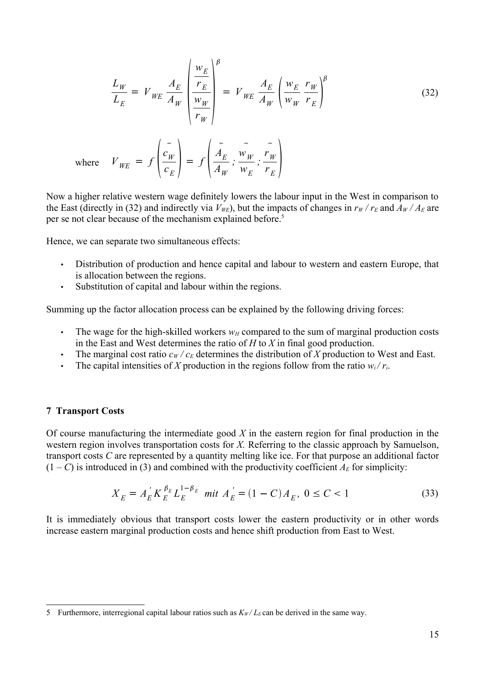<span id="page-14-0"></span>
$$
\frac{L_W}{L_E} = V_{WE} \frac{A_E}{A_W} \left( \frac{\frac{w_E}{r_E}}{\frac{w_W}{r_W}} \right)^{\beta} = V_{WE} \frac{A_E}{A_W} \left( \frac{w_E}{w_W} \frac{r_W}{r_E} \right)^{\beta} \tag{32}
$$

where 
$$
V_{WE} = f\left(\frac{c_W}{c_E}\right) = f\left(\frac{\overline{A_E}}{\overline{A_W}}; \frac{\overline{v_W}}{\overline{w_E}}; \frac{\overline{r_W}}{\overline{r_E}}\right)
$$

Now a higher relative western wage definitely lowers the labour input in the West in comparison to the East (directly in ([32](#page-14-0)) and indirectly via  $V_{WE}$ ), but the impacts of changes in  $r_W/r_E$  and  $A_W/A_E$  are per se not clear because of the mechanism explained before. [5](#page-14-1)

Hence, we can separate two simultaneous effects:

- Distribution of production and hence capital and labour to western and eastern Europe, that is allocation between the regions.
- Substitution of capital and labour within the regions.

Summing up the factor allocation process can be explained by the following driving forces:

- The wage for the high-skilled workers  $w_H$  compared to the sum of marginal production costs in the East and West determines the ratio of *H* to *X* in final good production.
- The marginal cost ratio  $c_W/c_E$  determines the distribution of *X* production to West and East.
- The capital intensities of *X* production in the regions follow from the ratio  $w_i/r_i$ .

#### **7 Transport Costs**

Of course manufacturing the intermediate good *X* in the eastern region for final production in the western region involves transportation costs for *X.* Referring to the classic approach by Samuelson, transport costs *C* are represented by a quantity melting like ice. For that purpose an additional factor  $(1 - C)$  is introduced in [\(3\)](#page-6-1) and combined with the productivity coefficient  $A_E$  for simplicity:

$$
X_E = A_E^{'} K_E^{\beta_E} L_E^{1-\beta_E} \text{ mit } A_E^{'} = (1 - C) A_E, \ 0 \le C < 1 \tag{33}
$$

It is immediately obvious that transport costs lower the eastern productivity or in other words increase eastern marginal production costs and hence shift production from East to West.

<span id="page-14-1"></span><sup>5</sup> Furthermore, interregional capital labour ratios such as  $K_W/L_E$  can be derived in the same way.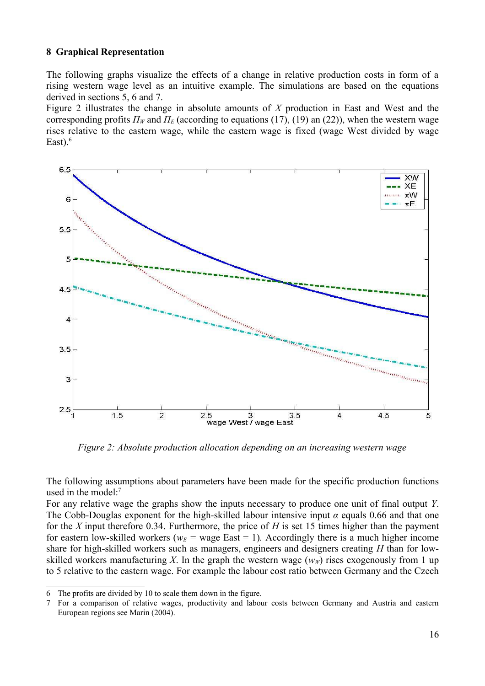## **8 Graphical Representation**

The following graphs visualize the effects of a change in relative production costs in form of a rising western wage level as an intuitive example. The simulations are based on the equations derived in sections 5, 6 and 7.

Figure 2 illustrates the change in absolute amounts of *X* production in East and West and the corresponding profits  $\Pi_W$  and  $\Pi_E$  (according to equations [\(17\)](#page-9-1), [\(19\)](#page-10-0) an ([22](#page-11-1))), when the western wage rises relative to the eastern wage, while the eastern wage is fixed (wage West divided by wage East). $<sup>6</sup>$  $<sup>6</sup>$  $<sup>6</sup>$ </sup>



*Figure 2: Absolute production allocation depending on an increasing western wage*

The following assumptions about parameters have been made for the specific production functions used in the model: [7](#page-15-1)

For any relative wage the graphs show the inputs necessary to produce one unit of final output *Y*. The Cobb-Douglas exponent for the high-skilled labour intensive input *α* equals 0.66 and that one for the *X* input therefore 0.34. Furthermore, the price of *H* is set 15 times higher than the payment for eastern low-skilled workers ( $w_E$  = wage East = 1). Accordingly there is a much higher income share for high-skilled workers such as managers, engineers and designers creating *H* than for lowskilled workers manufacturing X. In the graph the western wage  $(w<sub>W</sub>)$  rises exogenously from 1 up to 5 relative to the eastern wage. For example the labour cost ratio between Germany and the Czech

<span id="page-15-0"></span><sup>6</sup> The profits are divided by 10 to scale them down in the figure.

<span id="page-15-1"></span><sup>7</sup> For a comparison of relative wages, productivity and labour costs between Germany and Austria and eastern European regions see Marin (2004).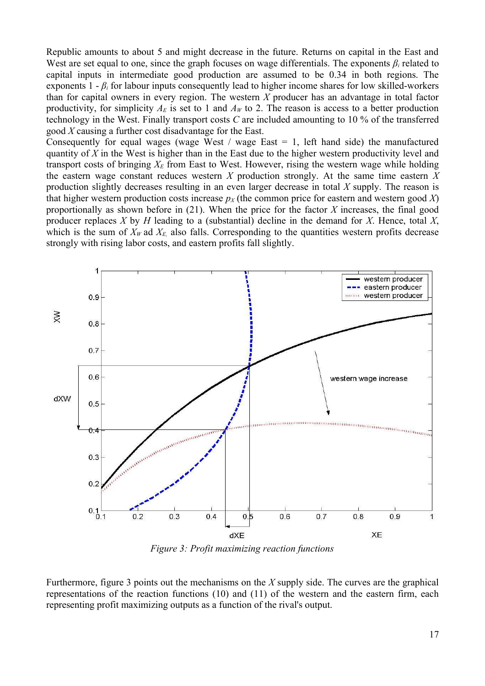Republic amounts to about 5 and might decrease in the future. Returns on capital in the East and West are set equal to one, since the graph focuses on wage differentials. The exponents  $\beta_i$  related to capital inputs in intermediate good production are assumed to be 0.34 in both regions. The exponents  $1 - \beta_i$  for labour inputs consequently lead to higher income shares for low skilled-workers than for capital owners in every region. The western *X* producer has an advantage in total factor productivity, for simplicity  $A_E$  is set to 1 and  $A_W$  to 2. The reason is access to a better production technology in the West. Finally transport costs *C* are included amounting to 10 % of the transferred good *X* causing a further cost disadvantage for the East.

Consequently for equal wages (wage West / wage East  $= 1$ , left hand side) the manufactured quantity of *X* in the West is higher than in the East due to the higher western productivity level and transport costs of bringing  $X_E$  from East to West. However, rising the western wage while holding the eastern wage constant reduces western *X* production strongly. At the same time eastern *X* production slightly decreases resulting in an even larger decrease in total *X* supply. The reason is that higher western production costs increase  $p<sub>X</sub>$  (the common price for eastern and western good *X*) proportionally as shown before in [\(21\)](#page-11-2). When the price for the factor *X* increases, the final good producer replaces *X* by *H* leading to a (substantial) decline in the demand for *X*. Hence, total *X*, which is the sum of  $X_W$  ad  $X_E$  also falls. Corresponding to the quantities western profits decrease strongly with rising labor costs, and eastern profits fall slightly.



*Figure 3: Profit maximizing reaction functions*

Furthermore, figure 3 points out the mechanisms on the *X* supply side. The curves are the graphical representations of the reaction functions ([10\)](#page-7-2) and ([11\)](#page-7-4) of the western and the eastern firm, each representing profit maximizing outputs as a function of the rival's output.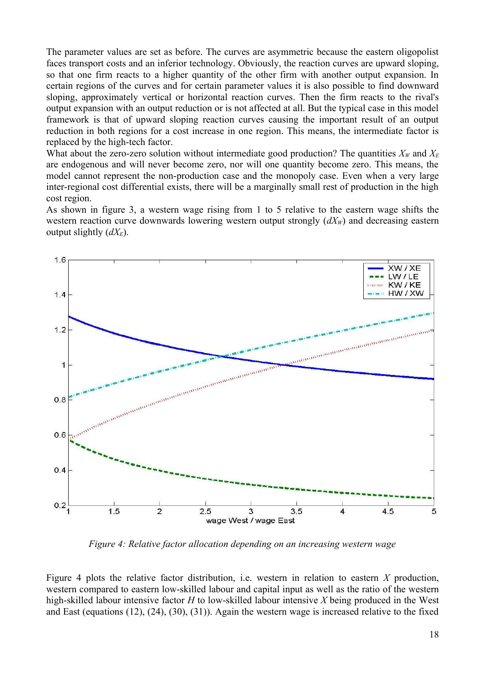The parameter values are set as before. The curves are asymmetric because the eastern oligopolist faces transport costs and an inferior technology. Obviously, the reaction curves are upward sloping, so that one firm reacts to a higher quantity of the other firm with another output expansion. In certain regions of the curves and for certain parameter values it is also possible to find downward sloping, approximately vertical or horizontal reaction curves. Then the firm reacts to the rival's output expansion with an output reduction or is not affected at all. But the typical case in this model framework is that of upward sloping reaction curves causing the important result of an output reduction in both regions for a cost increase in one region. This means, the intermediate factor is replaced by the high-tech factor.

What about the zero-zero solution without intermediate good production? The quantities  $X_W$  and  $X_E$ are endogenous and will never become zero, nor will one quantity become zero. This means, the model cannot represent the non-production case and the monopoly case. Even when a very large inter-regional cost differential exists, there will be a marginally small rest of production in the high cost region.

As shown in figure 3, a western wage rising from 1 to 5 relative to the eastern wage shifts the western reaction curve downwards lowering western output strongly  $(dX_W)$  and decreasing eastern output slightly (*dXE*).



*Figure 4: Relative factor allocation depending on an increasing western wage*

Figure 4 plots the relative factor distribution, i.e. western in relation to eastern *X* production, western compared to eastern low-skilled labour and capital input as well as the ratio of the western high-skilled labour intensive factor *H* to low-skilled labour intensive *X* being produced in the West and East (equations ([12\)](#page-8-1), ([24](#page-12-2)), [\(30](#page-13-0)), ([31\)](#page-13-1)). Again the western wage is increased relative to the fixed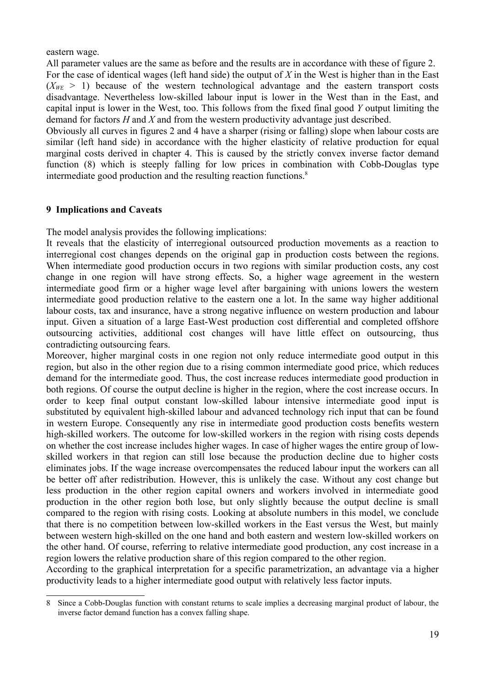eastern wage.

All parameter values are the same as before and the results are in accordance with these of figure 2. For the case of identical wages (left hand side) the output of *X* in the West is higher than in the East  $(X_{WE} > 1)$  because of the western technological advantage and the eastern transport costs disadvantage. Nevertheless low-skilled labour input is lower in the West than in the East, and capital input is lower in the West, too. This follows from the fixed final good *Y* output limiting the demand for factors *H* and *X* and from the western productivity advantage just described.

Obviously all curves in figures 2 and 4 have a sharper (rising or falling) slope when labour costs are similar (left hand side) in accordance with the higher elasticity of relative production for equal marginal costs derived in chapter 4. This is caused by the strictly convex inverse factor demand function [\(8](#page-7-0)) which is steeply falling for low prices in combination with Cobb-Douglas type intermediate good production and the resulting reaction functions. [8](#page-18-0)

## **9 Implications and Caveats**

The model analysis provides the following implications:

It reveals that the elasticity of interregional outsourced production movements as a reaction to interregional cost changes depends on the original gap in production costs between the regions. When intermediate good production occurs in two regions with similar production costs, any cost change in one region will have strong effects. So, a higher wage agreement in the western intermediate good firm or a higher wage level after bargaining with unions lowers the western intermediate good production relative to the eastern one a lot. In the same way higher additional labour costs, tax and insurance, have a strong negative influence on western production and labour input. Given a situation of a large East-West production cost differential and completed offshore outsourcing activities, additional cost changes will have little effect on outsourcing, thus contradicting outsourcing fears.

Moreover, higher marginal costs in one region not only reduce intermediate good output in this region, but also in the other region due to a rising common intermediate good price, which reduces demand for the intermediate good. Thus, the cost increase reduces intermediate good production in both regions. Of course the output decline is higher in the region, where the cost increase occurs. In order to keep final output constant low-skilled labour intensive intermediate good input is substituted by equivalent high-skilled labour and advanced technology rich input that can be found in western Europe. Consequently any rise in intermediate good production costs benefits western high-skilled workers. The outcome for low-skilled workers in the region with rising costs depends on whether the cost increase includes higher wages. In case of higher wages the entire group of lowskilled workers in that region can still lose because the production decline due to higher costs eliminates jobs. If the wage increase overcompensates the reduced labour input the workers can all be better off after redistribution. However, this is unlikely the case. Without any cost change but less production in the other region capital owners and workers involved in intermediate good production in the other region both lose, but only slightly because the output decline is small compared to the region with rising costs. Looking at absolute numbers in this model, we conclude that there is no competition between low-skilled workers in the East versus the West, but mainly between western high-skilled on the one hand and both eastern and western low-skilled workers on the other hand. Of course, referring to relative intermediate good production, any cost increase in a region lowers the relative production share of this region compared to the other region.

According to the graphical interpretation for a specific parametrization, an advantage via a higher productivity leads to a higher intermediate good output with relatively less factor inputs.

<span id="page-18-0"></span><sup>8</sup> Since a Cobb-Douglas function with constant returns to scale implies a decreasing marginal product of labour, the inverse factor demand function has a convex falling shape.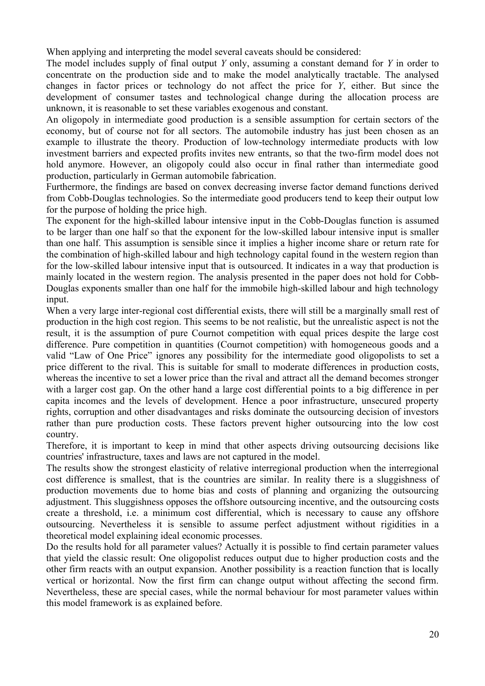When applying and interpreting the model several caveats should be considered:

The model includes supply of final output *Y* only, assuming a constant demand for *Y* in order to concentrate on the production side and to make the model analytically tractable. The analysed changes in factor prices or technology do not affect the price for *Y*, either. But since the development of consumer tastes and technological change during the allocation process are unknown, it is reasonable to set these variables exogenous and constant.

An oligopoly in intermediate good production is a sensible assumption for certain sectors of the economy, but of course not for all sectors. The automobile industry has just been chosen as an example to illustrate the theory. Production of low-technology intermediate products with low investment barriers and expected profits invites new entrants, so that the two-firm model does not hold anymore. However, an oligopoly could also occur in final rather than intermediate good production, particularly in German automobile fabrication.

Furthermore, the findings are based on convex decreasing inverse factor demand functions derived from Cobb-Douglas technologies. So the intermediate good producers tend to keep their output low for the purpose of holding the price high.

The exponent for the high-skilled labour intensive input in the Cobb-Douglas function is assumed to be larger than one half so that the exponent for the low-skilled labour intensive input is smaller than one half. This assumption is sensible since it implies a higher income share or return rate for the combination of high-skilled labour and high technology capital found in the western region than for the low-skilled labour intensive input that is outsourced. It indicates in a way that production is mainly located in the western region. The analysis presented in the paper does not hold for Cobb-Douglas exponents smaller than one half for the immobile high-skilled labour and high technology input.

When a very large inter-regional cost differential exists, there will still be a marginally small rest of production in the high cost region. This seems to be not realistic, but the unrealistic aspect is not the result, it is the assumption of pure Cournot competition with equal prices despite the large cost difference. Pure competition in quantities (Cournot competition) with homogeneous goods and a valid "Law of One Price" ignores any possibility for the intermediate good oligopolists to set a price different to the rival. This is suitable for small to moderate differences in production costs, whereas the incentive to set a lower price than the rival and attract all the demand becomes stronger with a larger cost gap. On the other hand a large cost differential points to a big difference in per capita incomes and the levels of development. Hence a poor infrastructure, unsecured property rights, corruption and other disadvantages and risks dominate the outsourcing decision of investors rather than pure production costs. These factors prevent higher outsourcing into the low cost country.

Therefore, it is important to keep in mind that other aspects driving outsourcing decisions like countries' infrastructure, taxes and laws are not captured in the model.

The results show the strongest elasticity of relative interregional production when the interregional cost difference is smallest, that is the countries are similar. In reality there is a sluggishness of production movements due to home bias and costs of planning and organizing the outsourcing adjustment. This sluggishness opposes the offshore outsourcing incentive, and the outsourcing costs create a threshold, i.e. a minimum cost differential, which is necessary to cause any offshore outsourcing. Nevertheless it is sensible to assume perfect adjustment without rigidities in a theoretical model explaining ideal economic processes.

Do the results hold for all parameter values? Actually it is possible to find certain parameter values that yield the classic result: One oligopolist reduces output due to higher production costs and the other firm reacts with an output expansion. Another possibility is a reaction function that is locally vertical or horizontal. Now the first firm can change output without affecting the second firm. Nevertheless, these are special cases, while the normal behaviour for most parameter values within this model framework is as explained before.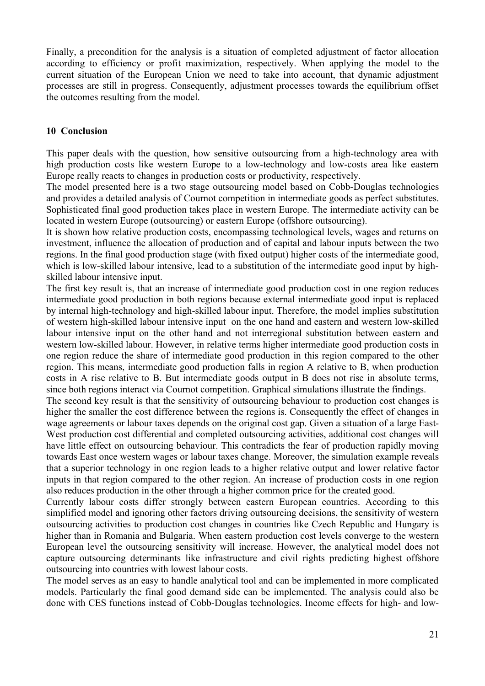Finally, a precondition for the analysis is a situation of completed adjustment of factor allocation according to efficiency or profit maximization, respectively. When applying the model to the current situation of the European Union we need to take into account, that dynamic adjustment processes are still in progress. Consequently, adjustment processes towards the equilibrium offset the outcomes resulting from the model.

## **10 Conclusion**

This paper deals with the question, how sensitive outsourcing from a high-technology area with high production costs like western Europe to a low-technology and low-costs area like eastern Europe really reacts to changes in production costs or productivity, respectively.

The model presented here is a two stage outsourcing model based on Cobb-Douglas technologies and provides a detailed analysis of Cournot competition in intermediate goods as perfect substitutes. Sophisticated final good production takes place in western Europe. The intermediate activity can be located in western Europe (outsourcing) or eastern Europe (offshore outsourcing).

It is shown how relative production costs, encompassing technological levels, wages and returns on investment, influence the allocation of production and of capital and labour inputs between the two regions. In the final good production stage (with fixed output) higher costs of the intermediate good, which is low-skilled labour intensive, lead to a substitution of the intermediate good input by highskilled labour intensive input.

The first key result is, that an increase of intermediate good production cost in one region reduces intermediate good production in both regions because external intermediate good input is replaced by internal high-technology and high-skilled labour input. Therefore, the model implies substitution of western high-skilled labour intensive input on the one hand and eastern and western low-skilled labour intensive input on the other hand and not interregional substitution between eastern and western low-skilled labour. However, in relative terms higher intermediate good production costs in one region reduce the share of intermediate good production in this region compared to the other region. This means, intermediate good production falls in region A relative to B, when production costs in A rise relative to B. But intermediate goods output in B does not rise in absolute terms, since both regions interact via Cournot competition. Graphical simulations illustrate the findings.

The second key result is that the sensitivity of outsourcing behaviour to production cost changes is higher the smaller the cost difference between the regions is. Consequently the effect of changes in wage agreements or labour taxes depends on the original cost gap. Given a situation of a large East-West production cost differential and completed outsourcing activities, additional cost changes will have little effect on outsourcing behaviour. This contradicts the fear of production rapidly moving towards East once western wages or labour taxes change. Moreover, the simulation example reveals that a superior technology in one region leads to a higher relative output and lower relative factor inputs in that region compared to the other region. An increase of production costs in one region also reduces production in the other through a higher common price for the created good.

Currently labour costs differ strongly between eastern European countries. According to this simplified model and ignoring other factors driving outsourcing decisions, the sensitivity of western outsourcing activities to production cost changes in countries like Czech Republic and Hungary is higher than in Romania and Bulgaria. When eastern production cost levels converge to the western European level the outsourcing sensitivity will increase. However, the analytical model does not capture outsourcing determinants like infrastructure and civil rights predicting highest offshore outsourcing into countries with lowest labour costs.

The model serves as an easy to handle analytical tool and can be implemented in more complicated models. Particularly the final good demand side can be implemented. The analysis could also be done with CES functions instead of Cobb-Douglas technologies. Income effects for high- and low-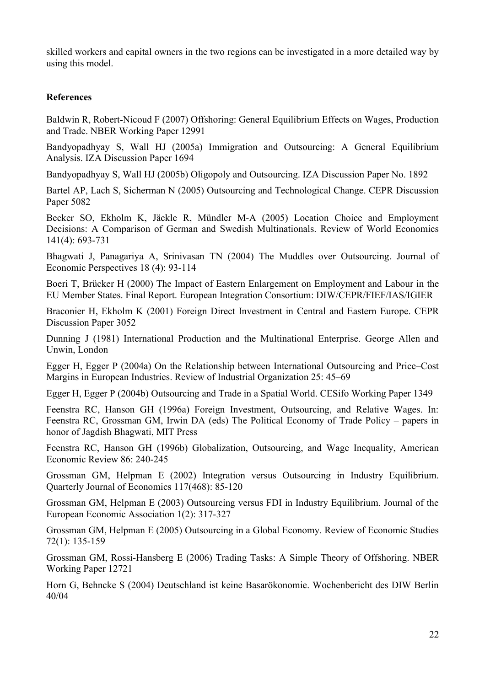skilled workers and capital owners in the two regions can be investigated in a more detailed way by using this model.

## **References**

Baldwin R, Robert-Nicoud F (2007) Offshoring: General Equilibrium Effects on Wages, Production and Trade. NBER Working Paper 12991

Bandyopadhyay S, Wall HJ (2005a) Immigration and Outsourcing: A General Equilibrium Analysis. IZA Discussion Paper 1694

Bandyopadhyay S, Wall HJ (2005b) Oligopoly and Outsourcing. IZA Discussion Paper No. 1892

Bartel AP, Lach S, Sicherman N (2005) Outsourcing and Technological Change. CEPR Discussion Paper 5082

Becker SO, Ekholm K, Jäckle R, Mündler M-A (2005) Location Choice and Employment Decisions: A Comparison of German and Swedish Multinationals. Review of World Economics 141(4): 693-731

Bhagwati J, Panagariya A, Srinivasan TN (2004) The Muddles over Outsourcing. Journal of Economic Perspectives 18 (4): 93-114

Boeri T, Brücker H (2000) The Impact of Eastern Enlargement on Employment and Labour in the EU Member States. Final Report. European Integration Consortium: DIW/CEPR/FIEF/IAS/IGIER

Braconier H, Ekholm K (2001) Foreign Direct Investment in Central and Eastern Europe. CEPR Discussion Paper 3052

Dunning J (1981) International Production and the Multinational Enterprise. George Allen and Unwin, London

Egger H, Egger P (2004a) On the Relationship between International Outsourcing and Price–Cost Margins in European Industries. Review of Industrial Organization 25: 45–69

Egger H, Egger P (2004b) Outsourcing and Trade in a Spatial World. CESifo Working Paper 1349

Feenstra RC, Hanson GH (1996a) Foreign Investment, Outsourcing, and Relative Wages. In: Feenstra RC, Grossman GM, Irwin DA (eds) The Political Economy of Trade Policy – papers in honor of Jagdish Bhagwati, MIT Press

Feenstra RC, Hanson GH (1996b) Globalization, Outsourcing, and Wage Inequality, American Economic Review 86: 240-245

Grossman GM, Helpman E (2002) Integration versus Outsourcing in Industry Equilibrium. Quarterly Journal of Economics 117(468): 85-120

Grossman GM, Helpman E (2003) Outsourcing versus FDI in Industry Equilibrium. Journal of the European Economic Association 1(2): 317-327

Grossman GM, Helpman E (2005) Outsourcing in a Global Economy. Review of Economic Studies 72(1): 135-159

Grossman GM, Rossi-Hansberg E (2006) Trading Tasks: A Simple Theory of Offshoring. NBER Working Paper 12721

Horn G, Behncke S (2004) Deutschland ist keine Basarökonomie. Wochenbericht des DIW Berlin 40/04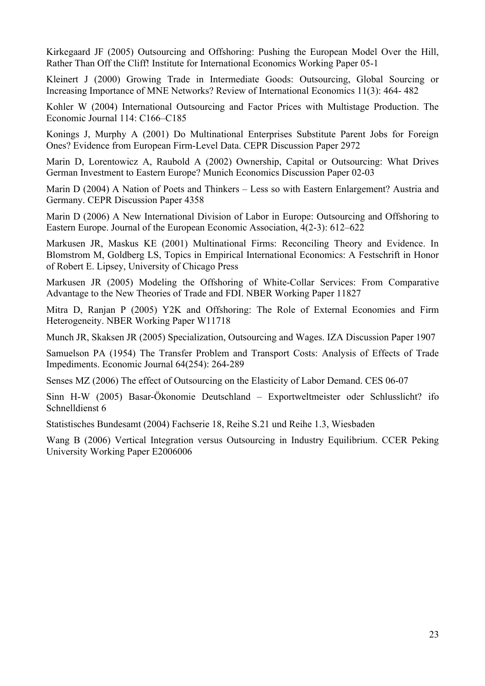Kirkegaard JF (2005) Outsourcing and Offshoring: Pushing the European Model Over the Hill, Rather Than Off the Cliff! Institute for International Economics Working Paper 05-1

Kleinert J (2000) Growing Trade in Intermediate Goods: Outsourcing, Global Sourcing or Increasing Importance of MNE Networks? Review of International Economics 11(3): 464- 482

Kohler W (2004) International Outsourcing and Factor Prices with Multistage Production. The Economic Journal 114: C166–C185

Konings J, Murphy A (2001) Do Multinational Enterprises Substitute Parent Jobs for Foreign Ones? Evidence from European Firm-Level Data. CEPR Discussion Paper 2972

Marin D, Lorentowicz A, Raubold A (2002) Ownership, Capital or Outsourcing: What Drives German Investment to Eastern Europe? Munich Economics Discussion Paper 02-03

Marin D (2004) A Nation of Poets and Thinkers – Less so with Eastern Enlargement? Austria and Germany. CEPR Discussion Paper 4358

Marin D (2006) A New International Division of Labor in Europe: Outsourcing and Offshoring to Eastern Europe. Journal of the European Economic Association, 4(2-3): 612–622

Markusen JR, Maskus KE (2001) Multinational Firms: Reconciling Theory and Evidence. In Blomstrom M, Goldberg LS, Topics in Empirical International Economics: A Festschrift in Honor of Robert E. Lipsey, University of Chicago Press

Markusen JR (2005) Modeling the Offshoring of White-Collar Services: From Comparative Advantage to the New Theories of Trade and FDI. NBER Working Paper 11827

Mitra D, Ranjan P (2005) Y2K and Offshoring: The Role of External Economies and Firm Heterogeneity. NBER Working Paper W11718

Munch JR, Skaksen JR (2005) Specialization, Outsourcing and Wages. IZA Discussion Paper 1907

Samuelson PA (1954) The Transfer Problem and Transport Costs: Analysis of Effects of Trade Impediments. Economic Journal 64(254): 264-289

Senses MZ (2006) The effect of Outsourcing on the Elasticity of Labor Demand. CES 06-07

Sinn H-W (2005) Basar-Ökonomie Deutschland – Exportweltmeister oder Schlusslicht? ifo Schnelldienst 6

Statistisches Bundesamt (2004) Fachserie 18, Reihe S.21 und Reihe 1.3, Wiesbaden

Wang B (2006) Vertical Integration versus Outsourcing in Industry Equilibrium. CCER Peking University Working Paper E2006006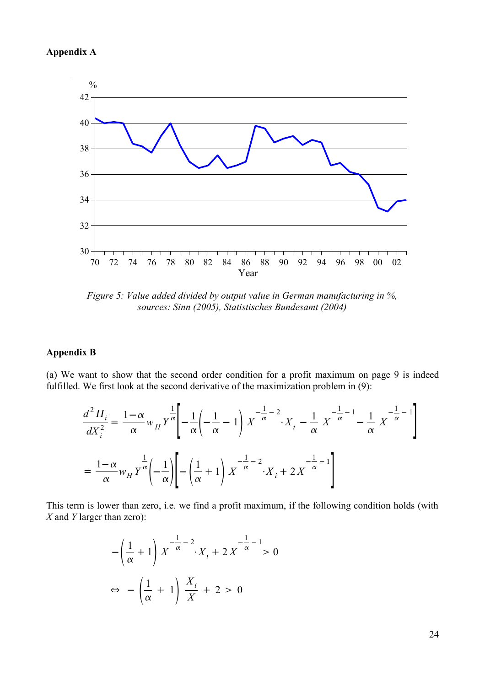## **Appendix A**



*Figure 5: Value added divided by output value in German manufacturing in %, sources: Sinn (2005), Statistisches Bundesamt (2004)*

### **Appendix B**

(a) We want to show that the second order condition for a profit maximum on page [9](#page-8-1) is indeed fulfilled. We first look at the second derivative of the maximization problem in [\(9](#page-7-5)):

$$
\frac{d^2\Pi_i}{dX_i^2} = \frac{1-\alpha}{\alpha} w_H Y^{\frac{1}{\alpha}} \left[ -\frac{1}{\alpha} \left( -\frac{1}{\alpha} - 1 \right) X^{-\frac{1}{\alpha} - 2} \cdot X_i - \frac{1}{\alpha} X^{-\frac{1}{\alpha} - 1} - \frac{1}{\alpha} X^{-\frac{1}{\alpha} - 1} \right]
$$

$$
= \frac{1-\alpha}{\alpha} w_H Y^{\frac{1}{\alpha}} \left( -\frac{1}{\alpha} \right) \left[ -\left( \frac{1}{\alpha} + 1 \right) X^{-\frac{1}{\alpha} - 2} \cdot X_i + 2 X^{-\frac{1}{\alpha} - 1} \right]
$$

This term is lower than zero, i.e. we find a profit maximum, if the following condition holds (with *X* and *Y* larger than zero):

$$
-\left(\frac{1}{\alpha} + 1\right)X^{-\frac{1}{\alpha}-2} \cdot X_i + 2X^{-\frac{1}{\alpha}-1} > 0
$$
  

$$
\Leftrightarrow -\left(\frac{1}{\alpha} + 1\right)\frac{X_i}{X} + 2 > 0
$$

24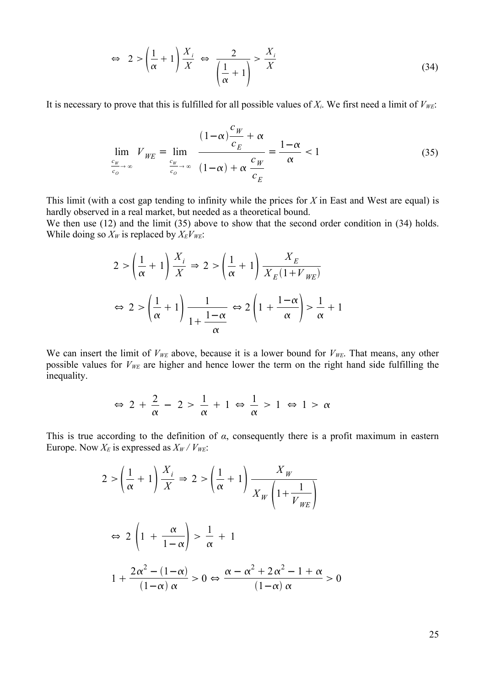<span id="page-24-0"></span>
$$
\Leftrightarrow \quad 2 > \left(\frac{1}{\alpha} + 1\right) \frac{X_i}{X} \iff \frac{2}{\left(\frac{1}{\alpha} + 1\right)} > \frac{X_i}{X} \tag{34}
$$

It is necessary to prove that this is fulfilled for all possible values of  $X_i$ . We first need a limit of  $V_{WE}$ :

<span id="page-24-1"></span>
$$
\lim_{\frac{c_w}{c_o} \to \infty} V_{WE} = \lim_{\frac{c_w}{c_o} \to \infty} \frac{(1-\alpha)\frac{c_w}{c_E} + \alpha}{(1-\alpha) + \alpha \frac{c_w}{c_E}} = \frac{1-\alpha}{\alpha} < 1
$$
\n(35)

This limit (with a cost gap tending to infinity while the prices for *X* in East and West are equal) is hardly observed in a real market, but needed as a theoretical bound.

We then use ([12\)](#page-8-1) and the limit [\(35](#page-24-1)) above to show that the second order condition in [\(34\)](#page-24-0) holds. While doing so  $X_W$  is replaced by  $X_E V_{WE}$ :

$$
2 > \left(\frac{1}{\alpha} + 1\right) \frac{X_i}{X} \Rightarrow 2 > \left(\frac{1}{\alpha} + 1\right) \frac{X_E}{X_E(1 + V_{WE})}
$$

$$
\Leftrightarrow 2 > \left(\frac{1}{\alpha} + 1\right) \frac{1}{1 + \frac{1 - \alpha}{\alpha}} \Leftrightarrow 2\left(1 + \frac{1 - \alpha}{\alpha}\right) > \frac{1}{\alpha} + 1
$$

We can insert the limit of  $V_{WE}$  above, because it is a lower bound for  $V_{WE}$ . That means, any other possible values for *VWE* are higher and hence lower the term on the right hand side fulfilling the inequality.

$$
\Leftrightarrow 2 + \frac{2}{\alpha} - 2 > \frac{1}{\alpha} + 1 \Leftrightarrow \frac{1}{\alpha} > 1 \Leftrightarrow 1 > \alpha
$$

This is true according to the definition of *α*, consequently there is a profit maximum in eastern Europe. Now  $X_E$  is expressed as  $X_W / V_{WE}$ :

$$
2 > \left(\frac{1}{\alpha} + 1\right) \frac{X_i}{X} \Rightarrow 2 > \left(\frac{1}{\alpha} + 1\right) \frac{X_W}{X_W \left(1 + \frac{1}{V_{WE}}\right)}
$$

$$
\Leftrightarrow 2 \left(1 + \frac{\alpha}{1 - \alpha}\right) > \frac{1}{\alpha} + 1
$$

$$
1 + \frac{2\alpha^2 - (1 - \alpha)}{(1 - \alpha)\alpha} > 0 \Leftrightarrow \frac{\alpha - \alpha^2 + 2\alpha^2 - 1 + \alpha}{(1 - \alpha)\alpha} > 0
$$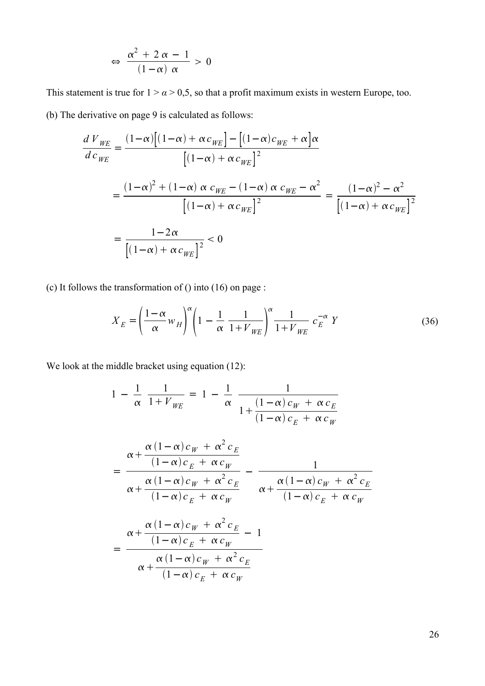$$
\Leftrightarrow \frac{\alpha^2 + 2 \alpha - 1}{(1 - \alpha) \alpha} > 0
$$

This statement is true for  $1 > \alpha > 0.5$ , so that a profit maximum exists in western Europe, too. (b) The derivative on page [9](#page-8-0) is calculated as follows:

$$
\frac{d V_{WE}}{d c_{WE}} = \frac{(1-\alpha)\left[(1-\alpha) + \alpha c_{WE}\right] - \left[(1-\alpha)c_{WE} + \alpha\right]\alpha}{\left[(1-\alpha) + \alpha c_{WE}\right]^2}
$$
\n
$$
= \frac{(1-\alpha)^2 + (1-\alpha)\alpha c_{WE} - (1-\alpha)\alpha c_{WE} - \alpha^2}{\left[(1-\alpha) + \alpha c_{WE}\right]^2} = \frac{(1-\alpha)^2 - \alpha^2}{\left[(1-\alpha) + \alpha c_{WE}\right]^2}
$$
\n
$$
= \frac{1-2\alpha}{\left[(1-\alpha) + \alpha c_{WE}\right]^2} < 0
$$

(c) It follows the transformation of ([\)](#page-25-1) into [\(16](#page-9-2)) on page [:](#page-25-0)

<span id="page-25-2"></span><span id="page-25-1"></span><span id="page-25-0"></span>
$$
X_E = \left(\frac{1-\alpha}{\alpha}w_H\right)^{\alpha} \left(1 - \frac{1}{\alpha}\frac{1}{1 + V_{WE}}\right)^{\alpha} \frac{1}{1 + V_{WE}} c_E^{-\alpha} Y
$$
(36)

We look at the middle bracket using equation  $(12)$  $(12)$  $(12)$ :

$$
1 - \frac{1}{\alpha} \frac{1}{1 + V_{WE}} = 1 - \frac{1}{\alpha} \frac{1}{1 + \frac{(1 - \alpha)c_W + \alpha c_E}{(1 - \alpha)c_W + \alpha c_W}}
$$
  

$$
= \frac{\alpha + \frac{\alpha(1 - \alpha)c_W + \alpha^2 c_E}{(1 - \alpha)c_E + \alpha c_W}}{\alpha + \frac{\alpha(1 - \alpha)c_W + \alpha^2 c_E}{(1 - \alpha)c_E + \alpha c_W}} - \frac{1}{\alpha + \frac{\alpha(1 - \alpha)c_W + \alpha^2 c_E}{(1 - \alpha)c_E + \alpha c_W}}
$$
  

$$
= \frac{\alpha + \frac{\alpha(1 - \alpha)c_W + \alpha^2 c_E}{(1 - \alpha)c_E + \alpha c_W} - 1}{\alpha + \frac{\alpha(1 - \alpha)c_W + \alpha^2 c_E}{(1 - \alpha)c_E + \alpha c_W}}
$$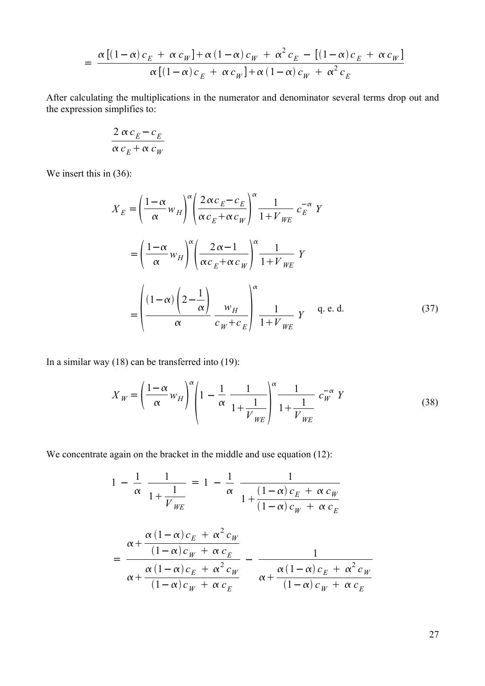$$
= \frac{\alpha \left[ \left( 1 - \alpha \right) c_E + \alpha c_W \right] + \alpha \left( 1 - \alpha \right) c_W + \alpha^2 c_E - \left[ \left( 1 - \alpha \right) c_E + \alpha c_W \right]}{\alpha \left[ \left( 1 - \alpha \right) c_E + \alpha c_W \right] + \alpha \left( 1 - \alpha \right) c_W + \alpha^2 c_E}
$$

After calculating the multiplications in the numerator and denominator several terms drop out and the expression simplifies to:

$$
\frac{2 \alpha c_E - c_E}{\alpha c_E + \alpha c_W}
$$

We insert this in  $(36)$  $(36)$ :

<span id="page-26-0"></span>
$$
X_{E} = \left(\frac{1-\alpha}{\alpha}w_{H}\right)^{\alpha} \left(\frac{2\alpha c_{E}-c_{E}}{\alpha c_{E}+\alpha c_{W}}\right)^{\alpha}\frac{1}{1+V_{WE}}c_{E}^{-\alpha}Y
$$

$$
= \left(\frac{1-\alpha}{\alpha}w_{H}\right)^{\alpha} \left(\frac{2\alpha-1}{\alpha c_{E}+\alpha c_{W}}\right)^{\alpha}\frac{1}{1+V_{WE}}Y
$$

$$
= \left(\frac{(1-\alpha)\left(2-\frac{1}{\alpha}\right)}{\alpha}\frac{w_{H}}{c_{W}+c_{E}}\right)^{\alpha}\frac{1}{1+V_{WE}}Y \quad \text{q. e. d.}
$$
(37)

In a similar way [\(18\)](#page-10-1) can be transferred into ([19](#page-10-0)):

<span id="page-26-1"></span>
$$
X_W = \left(\frac{1-\alpha}{\alpha}w_H\right)^{\alpha} \left(1 - \frac{1}{\alpha}\frac{1}{1+\frac{1}{V_{WE}}}\right)^{\alpha} \frac{1}{1+\frac{1}{V_{WE}}} c_W^{-\alpha} Y
$$
(38)

We concentrate again on the bracket in the middle and use equation ([12\)](#page-8-1):

$$
1 - \frac{1}{\alpha} \frac{1}{1 + \frac{1}{V_{WE}}} = 1 - \frac{1}{\alpha} \frac{1}{1 + \frac{(1 - \alpha)c_E + \alpha c_W}{(1 - \alpha)c_W + \alpha c_E}}
$$
  
= 
$$
\frac{\alpha + \frac{\alpha(1 - \alpha)c_E + \alpha^2 c_W}{(1 - \alpha)c_W + \alpha c_E}}{\alpha + \frac{\alpha(1 - \alpha)c_E + \alpha^2 c_W}{(1 - \alpha)c_W + \alpha c_E}} - \frac{1}{\alpha + \frac{\alpha(1 - \alpha)c_E + \alpha^2 c_W}{(1 - \alpha)c_W + \alpha c_E}}
$$